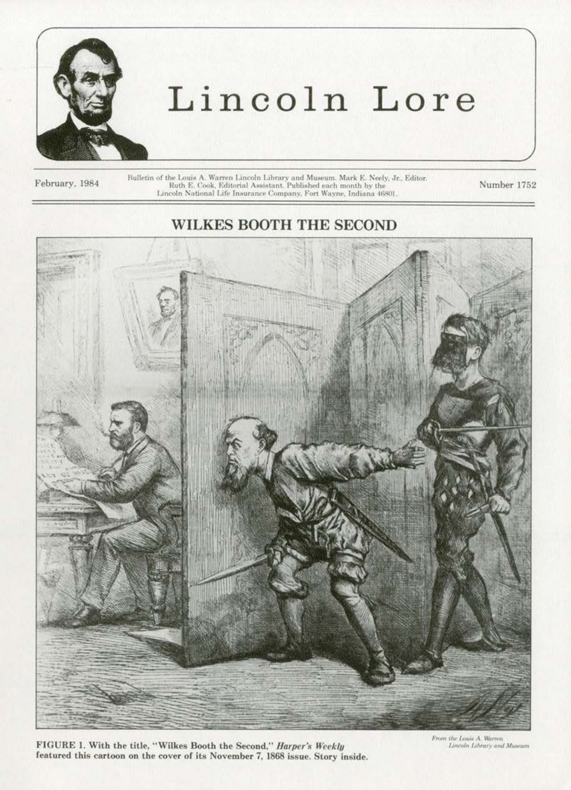

# Lincoln Lore

February, 1984

Bulletin of the Louis A. Warren Lincoln Library and Museum. Mark E. Neely, Jr., Editor.<br>Ruth E. Cook, Editorial Assistant. Published each month by the<br>Lincoln National Life Insurance Company, Fort Wayne, Indiana 46801.

Number 1752

## **WILKES BOOTH THE SECOND**



FIGURE 1. With the title, "Wilkes Booth the Second," Harper's Weekly featured this cartoon on the cover of its November 7, 1868 issue. Story inside.

From the Louis A. Warren<br>Lincoln Library and Museum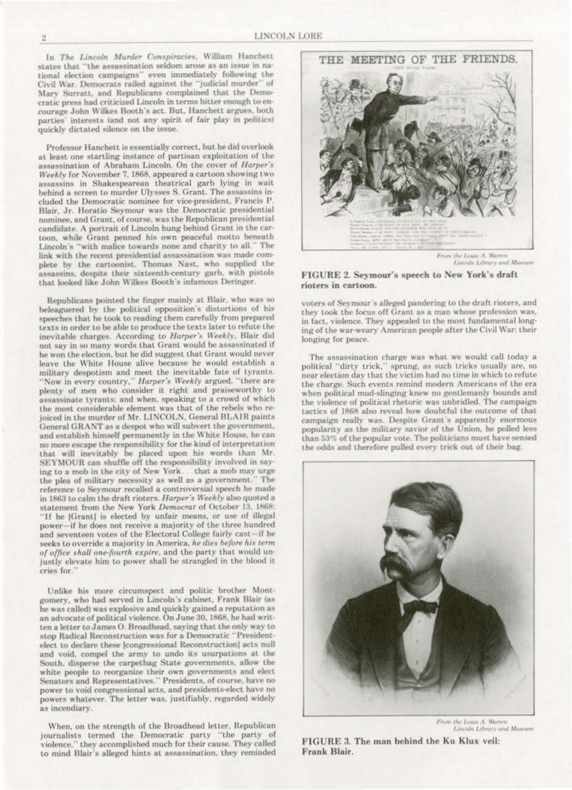In The Lincoln Murder Conspiracies, William Hanchett states that "the assassination seldom arose as an issue in national election campaigns" even immediately following the Civil War. Democrats railed against the "judicial murder" of Mary Surratt, and Republicans complained that the Democratic press had criticized Lincoln in terms bitter enough to encourage John Wilkes Booth's act. But, Hanchett argues, both parties' interests (and not any spirit of fair play in politics) quickly dictated silence on the issue.

Professor Hanchett is essentially correct, but he did overlook at least one startling instance of partisan exploitation of the assassination of Abraham Lincoln. On the cover of Harper's Weekly for November 7, 1868, appeared a cartoon showing two assassins in Shakespearean theatrical garb lying in wait behind a screen to murder Ulysses S. Grant. The assassins included the Democratic nominee for vice-president, Francis P. Blair, Jr. Horatio Seymour was the Democratic presidential nominee, and Grant, of course, was the Republican presidential candidate. A portrait of Lincoln hung behind Grant in the cartoon, while Grant penned his own peaceful motto beneath Lincoln's "with malice towards none and charity to all." The link with the recent presidential assassination was made complete by the cartoonist, Thomas Nast, who supplied the assassins, despite their sixteenth-century garb, with pistols that looked like John Wilkes Booth's infamous Deringer.

Republicans pointed the finger mainly at Blair, who was so beleaguered by the political opposition's distortions of his speeches that he took to reading them carefully from prepared texts in order to be able to produce the texts later to refute the inevitable charges. According to Harper's Weekly, Blair did not say in so many words that Grant would be assassinated if he won the election, but he did suggest that Grant would never leave the White House alive because he would establish a military despotism and meet the inevitable fate of tyrants. "Now in every country," Harper's Weekly argued, "there are plenty of men who consider it right and praiseworthy to assassinate tyrants; and when, speaking to a crowd of which the most considerable element was that of the rebels who rejoiced in the murder of Mr. LINCOLN, General BLAIR paints General GRANT as a despot who will subvert the government. and establish himself permanently in the White House, he can no more escape the responsibility for the kind of interpretation that will inevitably be placed upon his words than Mr. SEYMOUR can shuffle off the responsibility involved in saying to a mob in the city of New York. that a mob may urge the plea of military necessity as well as a government." The reference to Seymour recalled a controversial speech he made in 1863 to calm the draft rioters. Harper's Weekly also quoted a statement from the New York Democrat of October 13, 1868: "If he [Grant] is elected by unfair means, or use of illegal power-if he does not receive a majority of the three hundred and seventeen votes of the Electoral College fairly cast-if he seeks to override a majority in America, he dies before his term of office shall one-fourth expire, and the party that would unjustly elevate him to power shall be strangled in the blood it cries for."

Unlike his more circumspect and politic brother Montgomery, who had served in Lincoln's cabinet, Frank Blair (as he was called) was explosive and quickly gained a reputation as an advocate of political violence. On June 30, 1868, he had written a letter to James O. Broadhead, saying that the only way to stop Radical Reconstruction was for a Democratic "Presidentelect to declare these [congressional Reconstruction] acts null and void, compel the army to undo its usurpations at the South, disperse the carpetbag State governments, allow the white people to reorganize their own governments and elect Senators and Representatives." Presidents, of course, have no power to void congressional acts, and presidents-elect have no powers whatever. The letter was, justifiably, regarded widely as incendiary.

When, on the strength of the Broadhead letter, Republican journalists termed the Democratic party "the party of violence," they accomplished much for their cause. They called to mind Blair's alleged hints at assassination, they reminded



From the Louis A. Warren Lincoln Library and Morrow

FIGURE 2. Seymour's speech to New York's draft rioters in cartoon.

voters of Seymour's alleged pandering to the draft rioters, and they took the focus off Grant as a man whose profession was. in fact, violence. They appealed to the most fundamental longing of the war-weary American people after the Civil War: their longing for peace.

The assassination charge was what we would call today a political "dirty trick," sprung, as such tricks usually are, so near election day that the victim had no time in which to refute the charge. Such events remind modern Americans of the era when political mud-slinging knew no gentlemanly bounds and the violence of political rhetoric was unbridled. The campaign tactics of 1868 also reveal how doubtful the outcome of that campaign really was. Despite Grant's apparently enormous popularity as the military savior of the Union, he polled less than 53% of the popular vote. The politicians must have sensed the odds and therefore pulled every trick out of their bag.



From the Louis A. Warren<br>Lincoln Library and Museum

FIGURE 3. The man behind the Ku Klux veil: Frank Blair.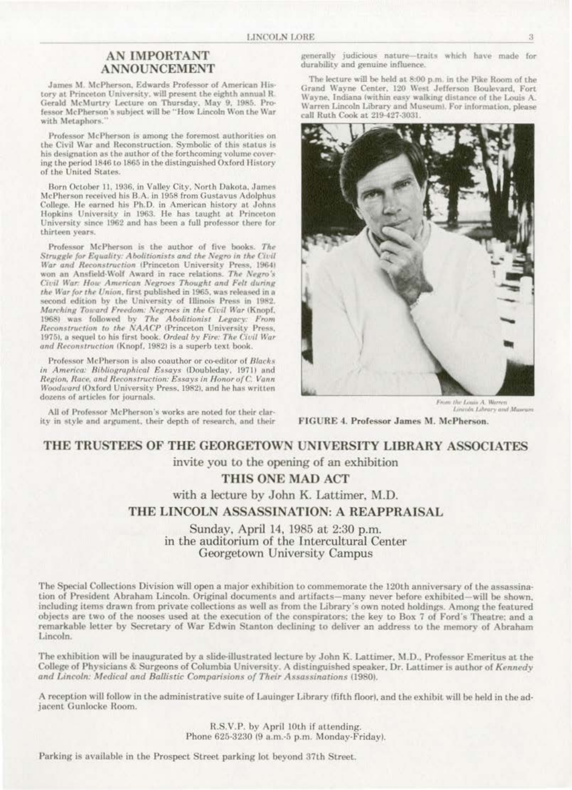## **AN IMPORTANT ANNOUNCEMENT**

James M. McPherson, Edwards Professor of American History at Princeton University, will present the eighth annual R. Gerald McMurtry Lecture on Thursday, May 9, 1985. Professor McPherson's subject will be "How Lincoln Won the War with Metaphors."

Professor McPherson is among the foremost authorities on the Civil War and Reconstruction. Symbolic of this status is his designation as the author of the forthcoming volume covering the period 1846 to 1865 in the distinguished Oxford History of the United States.

Born October 11, 1936, in Valley City, North Dakota, James McPherson received his B.A. in 1958 from Gustavus Adolphus College. He earned his Ph.D. in American history at Johns Hopkins University in 1963. He has taught at Princeton University since 1962 and has been a full professor there for thirteen years.

Professor McPherson is the author of five books. The Struggle for Equality: Abolitionists and the Negro in the Civil War and Reconstruction (Princeton University Press, 1964) won an Ansfield-Wolf Award in race relations. The Negro's Civil War: How American Negroes Thought and Felt during the War for the Union, first published in 1965, was released in a second edition by the University of Illinois Press in 1982. Marching Toward Freedom: Negroes in the Civil War (Knopf, 1968) was followed by The Abolitionist Legacy: From Reconstruction to the NAACP (Princeton University Press, 1975), a sequel to his first book. Ordeal by Fire: The Civil War and Reconstruction (Knopf, 1982) is a superb text book.

Professor McPherson is also coauthor or co-editor of Blacks in America: Bibliographical Essays (Doubleday, 1971) and Region, Race, and Reconstruction: Essays in Honor of C. Vann Woodward (Oxford University Press, 1982), and he has written dozens of articles for journals.

All of Professor McPherson's works are noted for their clarity in style and argument, their depth of research, and their

generally judicious nature-traits which have made for durability and genuine influence.

The lecture will be held at 8:00 p.m. in the Pike Room of the Grand Wayne Center, 120 West Jefferson Boulevard, Fort Wayne, Indiana (within easy walking distance of the Louis A. Warren Lincoln Library and Museum). For information, please call Ruth Cook at 219-427-3031



From the Louis A. Warren<br>Lincoln Library and Museum

#### FIGURE 4. Professor James M. McPherson.

### THE TRUSTEES OF THE GEORGETOWN UNIVERSITY LIBRARY ASSOCIATES

invite you to the opening of an exhibition THIS ONE MAD ACT with a lecture by John K. Lattimer, M.D.

THE LINCOLN ASSASSINATION: A REAPPRAISAL

Sunday, April 14, 1985 at 2:30 p.m. in the auditorium of the Intercultural Center Georgetown University Campus

The Special Collections Division will open a major exhibition to commemorate the 120th anniversary of the assassination of President Abraham Lincoln. Original documents and artifacts-many never before exhibited-will be shown, including items drawn from private collections as well as from the Library's own noted holdings. Among the featured objects are two of the nooses used at the execution of the conspirators; the key to Box 7 of Ford's Theatre; and a remarkable letter by Secretary of War Edwin Stanton declining to deliver an address to the memory of Abraham Lincoln.

The exhibition will be inaugurated by a slide-illustrated lecture by John K. Lattimer, M.D., Professor Emeritus at the College of Physicians & Surgeons of Columbia University. A distinguished speaker, Dr. Lattimer is author of Kennedy and Lincoln: Medical and Ballistic Comparisions of Their Assassinations (1980).

A reception will follow in the administrative suite of Lauinger Library (fifth floor), and the exhibit will be held in the adjacent Gunlocke Room.

> R.S.V.P. by April 10th if attending. Phone 625-3230 (9 a.m.-5 p.m. Monday-Friday).

Parking is available in the Prospect Street parking lot beyond 37th Street.